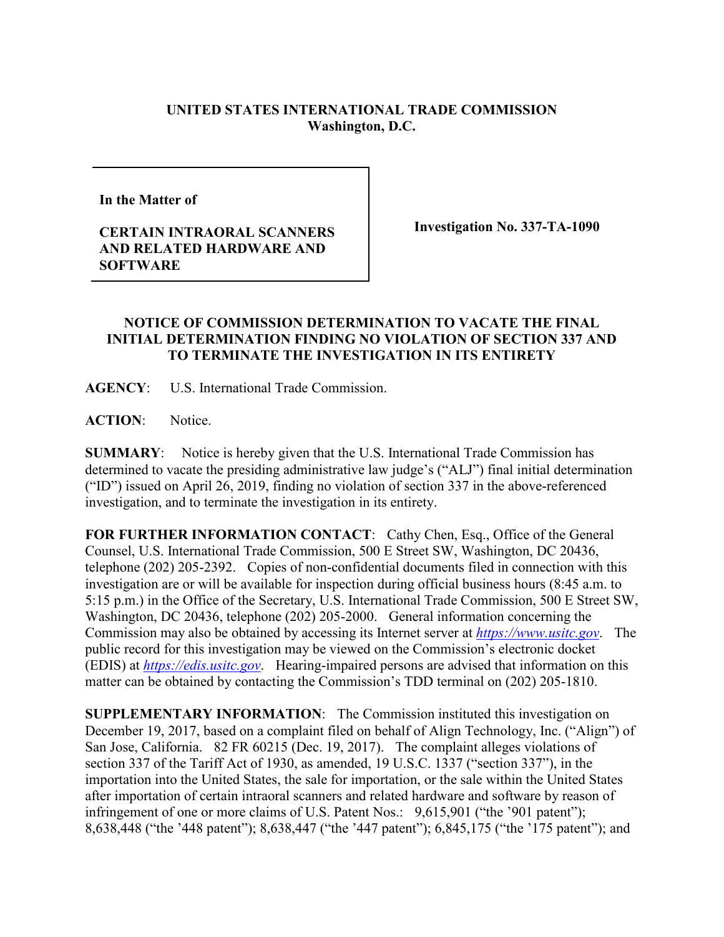## **UNITED STATES INTERNATIONAL TRADE COMMISSION Washington, D.C.**

**In the Matter of** 

## **CERTAIN INTRAORAL SCANNERS AND RELATED HARDWARE AND SOFTWARE**

**Investigation No. 337-TA-1090**

## **NOTICE OF COMMISSION DETERMINATION TO VACATE THE FINAL INITIAL DETERMINATION FINDING NO VIOLATION OF SECTION 337 AND TO TERMINATE THE INVESTIGATION IN ITS ENTIRETY**

**AGENCY**: U.S. International Trade Commission.

**ACTION**: Notice.

**SUMMARY**: Notice is hereby given that the U.S. International Trade Commission has determined to vacate the presiding administrative law judge's ("ALJ") final initial determination ("ID") issued on April 26, 2019, finding no violation of section 337 in the above-referenced investigation, and to terminate the investigation in its entirety.

**FOR FURTHER INFORMATION CONTACT**: Cathy Chen, Esq., Office of the General Counsel, U.S. International Trade Commission, 500 E Street SW, Washington, DC 20436, telephone (202) 205-2392. Copies of non-confidential documents filed in connection with this investigation are or will be available for inspection during official business hours (8:45 a.m. to 5:15 p.m.) in the Office of the Secretary, U.S. International Trade Commission, 500 E Street SW, Washington, DC 20436, telephone (202) 205-2000. General information concerning the Commission may also be obtained by accessing its Internet server at *[https://www.usitc.gov](https://www.usitc.gov/)*. The public record for this investigation may be viewed on the Commission's electronic docket (EDIS) at *[https://edis.usitc.gov](https://edis.usitc.gov/)*. Hearing-impaired persons are advised that information on this matter can be obtained by contacting the Commission's TDD terminal on (202) 205-1810.

**SUPPLEMENTARY INFORMATION**: The Commission instituted this investigation on December 19, 2017, based on a complaint filed on behalf of Align Technology, Inc. ("Align") of San Jose, California. 82 FR 60215 (Dec. 19, 2017). The complaint alleges violations of section 337 of the Tariff Act of 1930, as amended, 19 U.S.C. 1337 ("section 337"), in the importation into the United States, the sale for importation, or the sale within the United States after importation of certain intraoral scanners and related hardware and software by reason of infringement of one or more claims of U.S. Patent Nos.: 9,615,901 ("the '901 patent"); 8,638,448 ("the '448 patent"); 8,638,447 ("the '447 patent"); 6,845,175 ("the '175 patent"); and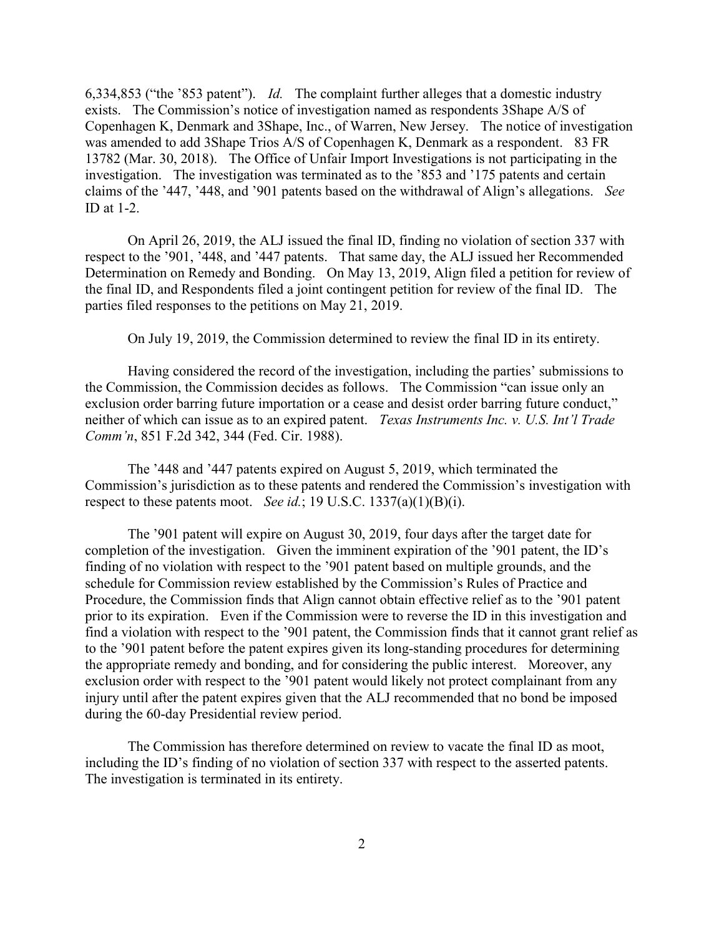6,334,853 ("the '853 patent").*Id.* The complaint further alleges that a domestic industry exists. The Commission's notice of investigation named as respondents 3Shape A/S of Copenhagen K, Denmark and 3Shape, Inc., of Warren, New Jersey. The notice of investigation was amended to add 3Shape Trios A/S of Copenhagen K, Denmark as a respondent. 83 FR 13782 (Mar. 30, 2018). The Office of Unfair Import Investigations is not participating in the investigation. The investigation was terminated as to the '853 and '175 patents and certain claims of the '447, '448, and '901 patents based on the withdrawal of Align's allegations. *See*  ID at 1-2.

On April 26, 2019, the ALJ issued the final ID, finding no violation of section 337 with respect to the '901, '448, and '447 patents. That same day, the ALJ issued her Recommended Determination on Remedy and Bonding. On May 13, 2019, Align filed a petition for review of the final ID, and Respondents filed a joint contingent petition for review of the final ID. The parties filed responses to the petitions on May 21, 2019.

On July 19, 2019, the Commission determined to review the final ID in its entirety.

Having considered the record of the investigation, including the parties' submissions to the Commission, the Commission decides as follows. The Commission "can issue only an exclusion order barring future importation or a cease and desist order barring future conduct," neither of which can issue as to an expired patent. *Texas Instruments Inc. v. U.S. Int'l Trade Comm'n*, 851 F.2d 342, 344 (Fed. Cir. 1988).

The '448 and '447 patents expired on August 5, 2019, which terminated the Commission's jurisdiction as to these patents and rendered the Commission's investigation with respect to these patents moot. *See id.*; 19 U.S.C. 1337(a)(1)(B)(i).

The '901 patent will expire on August 30, 2019, four days after the target date for completion of the investigation. Given the imminent expiration of the '901 patent, the ID's finding of no violation with respect to the '901 patent based on multiple grounds, and the schedule for Commission review established by the Commission's Rules of Practice and Procedure, the Commission finds that Align cannot obtain effective relief as to the '901 patent prior to its expiration. Even if the Commission were to reverse the ID in this investigation and find a violation with respect to the '901 patent, the Commission finds that it cannot grant relief as to the '901 patent before the patent expires given its long-standing procedures for determining the appropriate remedy and bonding, and for considering the public interest. Moreover, any exclusion order with respect to the '901 patent would likely not protect complainant from any injury until after the patent expires given that the ALJ recommended that no bond be imposed during the 60-day Presidential review period.

The Commission has therefore determined on review to vacate the final ID as moot, including the ID's finding of no violation of section 337 with respect to the asserted patents. The investigation is terminated in its entirety.